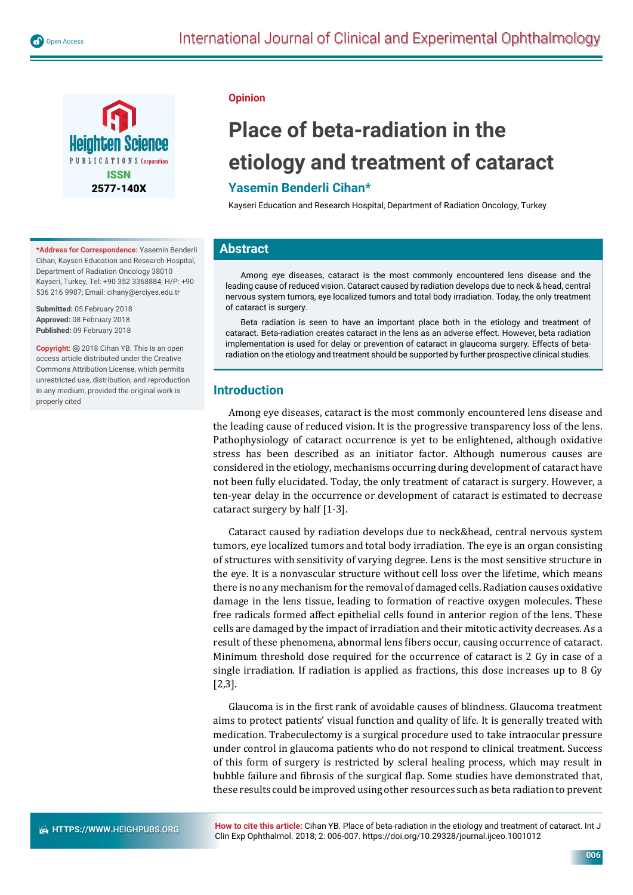

**\*Address for Correspondence:** Yasemin Benderli Cihan, Kayseri Education and Research Hospital, Department of Radiation Oncology 38010 Kayseri, Turkey, Tel: +90 352 3368884; H/P: +90 536 216 9987; Email: cihany@erciyes.edu.tr

**Submitted:** 05 February 2018 **Approved:** 08 February 2018 **Published:** 09 February 2018

**Copyright:** 2018 Cihan YB. This is an open access article distributed under the Creative Commons Attribution License, which permits unrestricted use, distribution, and reproduction in any medium, provided the original work is properly cited

#### **Opinion**

# **Place of beta-radiation in the etiology and treatment of cataract**

## **Yasemin Benderli Cihan\***

Kayseri Education and Research Hospital, Department of Radiation Oncology, Turkey

### **Abstract**

Among eye diseases, cataract is the most commonly encountered lens disease and the leading cause of reduced vision. Cataract caused by radiation develops due to neck & head, central nervous system tumors, eye localized tumors and total body irradiation. Today, the only treatment of cataract is surgery.

Beta radiation is seen to have an important place both in the etiology and treatment of cataract. Beta-radiation creates cataract in the lens as an adverse effect. However, beta radiation implementation is used for delay or prevention of cataract in glaucoma surgery. Effects of betaradiation on the etiology and treatment should be supported by further prospective clinical studies.

### **Introduction**

Among eye diseases, cataract is the most commonly encountered lens disease and the leading cause of reduced vision. It is the progressive transparency loss of the lens. Pathophysiology of cataract occurrence is yet to be enlightened, although oxidative stress has been described as an initiator factor. Although numerous causes are considered in the etiology, mechanisms occurring during development of cataract have not been fully elucidated. Today, the only treatment of cataract is surgery. However, a ten-year delay in the occurrence or development of cataract is estimated to decrease cataract surgery by half [1-3].

Cataract caused by radiation develops due to neck&head, central nervous system tumors, eye localized tumors and total body irradiation. The eye is an organ consisting of structures with sensitivity of varying degree. Lens is the most sensitive structure in the eye. It is a nonvascular structure without cell loss over the lifetime, which means there is no any mechanism for the removal of damaged cells. Radiation causes oxidative damage in the lens tissue, leading to formation of reactive oxygen molecules. These free radicals formed affect epithelial cells found in anterior region of the lens. These cells are damaged by the impact of irradiation and their mitotic activity decreases. As a result of these phenomena, abnormal lens fibers occur, causing occurrence of cataract. Minimum threshold dose required for the occurrence of cataract is 2 Gy in case of a single irradiation. If radiation is applied as fractions, this dose increases up to 8 Gy [2,3].

Glaucoma is in the first rank of avoidable causes of blindness. Glaucoma treatment aims to protect patients' visual function and quality of life. It is generally treated with medication. Trabeculectomy is a surgical procedure used to take intraocular pressure under control in glaucoma patients who do not respond to clinical treatment. Success of this form of surgery is restricted by scleral healing process, which may result in bubble failure and fibrosis of the surgical flap. Some studies have demonstrated that, these results could be improved using other resources such as beta radiation to prevent

**How to cite this article:** Cihan YB. Place of beta-radiation in the etiology and treatment of cataract. Int J Clin Exp Ophthalmol. 2018; 2: 006-007. https://doi.org/10.29328/journal.ijceo.1001012